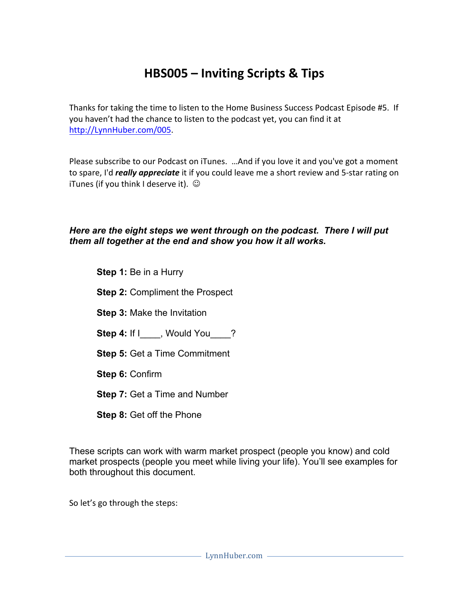# **HBS005 – Inviting Scripts & Tips**

Thanks for taking the time to listen to the Home Business Success Podcast Episode #5. If you haven't had the chance to listen to the podcast yet, you can find it at http://LynnHuber.com/005.

Please subscribe to our Podcast on iTunes. ... And if you love it and you've got a moment to spare, I'd *really appreciate* it if you could leave me a short review and 5-star rating on iTunes (if you think I deserve it).  $\odot$ 

### *Here are the eight steps we went through on the podcast. There I will put them all together at the end and show you how it all works.*

- **Step 1: Be in a Hurry**
- **Step 2:** Compliment the Prospect
- **Step 3:** Make the Invitation
- Step 4: If I\_\_\_\_, Would You \_\_\_?
- **Step 5:** Get a Time Commitment
- **Step 6:** Confirm
- **Step 7:** Get a Time and Number
- **Step 8:** Get off the Phone

These scripts can work with warm market prospect (people you know) and cold market prospects (people you meet while living your life). You'll see examples for both throughout this document.

So let's go through the steps: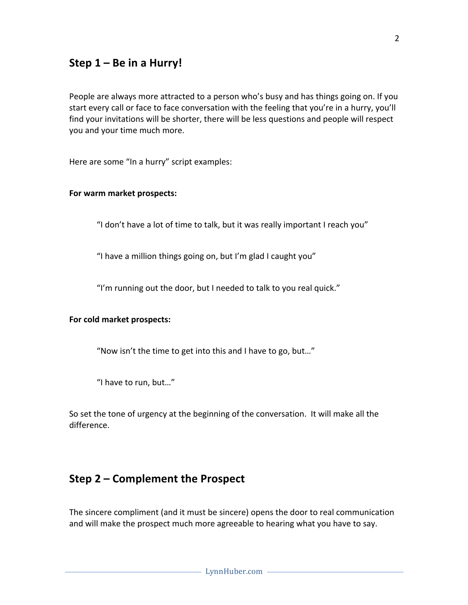### Step 1 – Be in a Hurry!

People are always more attracted to a person who's busy and has things going on. If you start every call or face to face conversation with the feeling that you're in a hurry, you'll find your invitations will be shorter, there will be less questions and people will respect you and your time much more.

Here are some "In a hurry" script examples:

#### **For warm market prospects:**

"I don't have a lot of time to talk, but it was really important I reach you"

"I have a million things going on, but I'm glad I caught you"

"I'm running out the door, but I needed to talk to you real quick."

#### For cold market prospects:

"Now isn't the time to get into this and I have to go, but..."

"I have to run, but..."

So set the tone of urgency at the beginning of the conversation. It will make all the difference.

### **Step 2 – Complement the Prospect**

The sincere compliment (and it must be sincere) opens the door to real communication and will make the prospect much more agreeable to hearing what you have to say.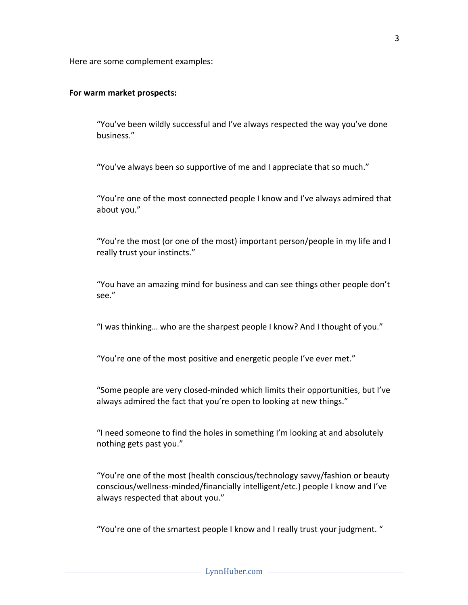Here are some complement examples:

#### **For warm market prospects:**

"You've been wildly successful and I've always respected the way you've done business."

"You've always been so supportive of me and I appreciate that so much."

"You're one of the most connected people I know and I've always admired that about you."

"You're the most (or one of the most) important person/people in my life and I really trust your instincts."

"You have an amazing mind for business and can see things other people don't see."

"I was thinking... who are the sharpest people I know? And I thought of you."

"You're one of the most positive and energetic people I've ever met."

"Some people are very closed-minded which limits their opportunities, but I've always admired the fact that you're open to looking at new things."

"I need someone to find the holes in something I'm looking at and absolutely nothing gets past you."

"You're one of the most (health conscious/technology savvy/fashion or beauty conscious/wellness-minded/financially intelligent/etc.) people I know and I've always respected that about you."

"You're one of the smartest people I know and I really trust your judgment. "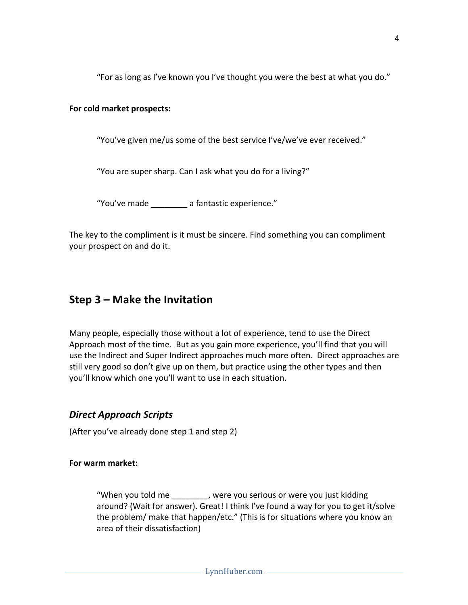"For as long as I've known you I've thought you were the best at what you do."

### For cold market prospects:

"You've given me/us some of the best service I've/we've ever received."

"You are super sharp. Can I ask what you do for a living?"

"You've made a fantastic experience."

The key to the compliment is it must be sincere. Find something you can compliment your prospect on and do it.

## **Step 3 – Make the Invitation**

Many people, especially those without a lot of experience, tend to use the Direct Approach most of the time. But as you gain more experience, you'll find that you will use the Indirect and Super Indirect approaches much more often. Direct approaches are still very good so don't give up on them, but practice using the other types and then you'll know which one you'll want to use in each situation.

## *Direct Approach Scripts*

(After you've already done step 1 and step 2)

For warm market:

"When you told me Theody business you serious or were you just kidding around? (Wait for answer). Great! I think I've found a way for you to get it/solve the problem/ make that happen/etc." (This is for situations where you know an area of their dissatisfaction)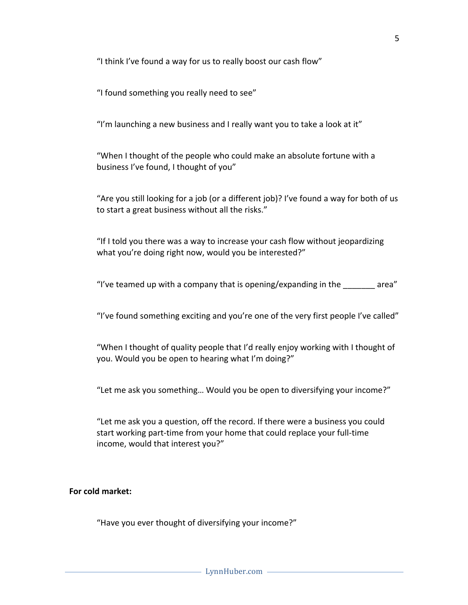"I think I've found a way for us to really boost our cash flow"

"I found something you really need to see"

"I'm launching a new business and I really want you to take a look at it"

"When I thought of the people who could make an absolute fortune with a business I've found, I thought of you"

"Are you still looking for a job (or a different  $job$ )? I've found a way for both of us to start a great business without all the risks."

"If I told you there was a way to increase your cash flow without jeopardizing what you're doing right now, would you be interested?"

"I've teamed up with a company that is opening/expanding in the  $\qquad$  area"

"I've found something exciting and you're one of the very first people I've called"

"When I thought of quality people that I'd really enjoy working with I thought of you. Would you be open to hearing what I'm doing?"

"Let me ask you something... Would you be open to diversifying your income?"

"Let me ask you a question, off the record. If there were a business you could start working part-time from your home that could replace your full-time income, would that interest you?"

### For cold market:

"Have you ever thought of diversifying your income?"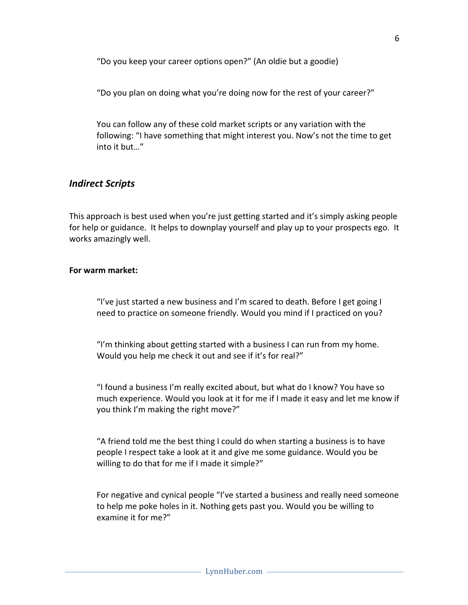"Do you keep your career options open?" (An oldie but a goodie)

"Do you plan on doing what you're doing now for the rest of your career?"

You can follow any of these cold market scripts or any variation with the following: "I have something that might interest you. Now's not the time to get into it but..."

### *Indirect Scripts*

This approach is best used when you're just getting started and it's simply asking people for help or guidance. It helps to downplay yourself and play up to your prospects ego. It works amazingly well.

#### **For warm market:**

"I've just started a new business and I'm scared to death. Before I get going I need to practice on someone friendly. Would you mind if I practiced on you?

"I'm thinking about getting started with a business I can run from my home. Would you help me check it out and see if it's for real?"

"I found a business I'm really excited about, but what do I know? You have so much experience. Would you look at it for me if I made it easy and let me know if you think I'm making the right move?"

"A friend told me the best thing I could do when starting a business is to have people I respect take a look at it and give me some guidance. Would you be willing to do that for me if I made it simple?"

For negative and cynical people "I've started a business and really need someone to help me poke holes in it. Nothing gets past you. Would you be willing to examine it for me?"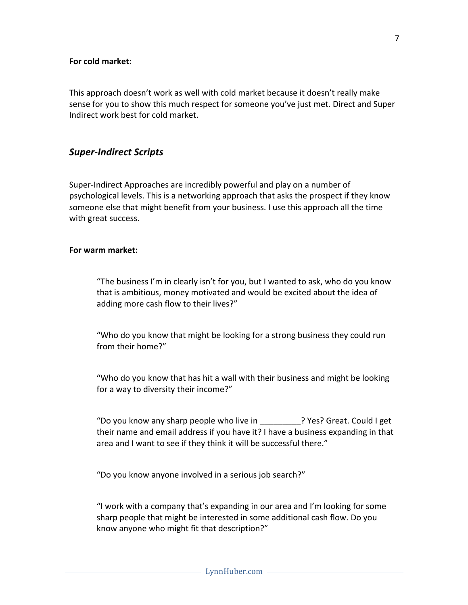### **For cold market:**

This approach doesn't work as well with cold market because it doesn't really make sense for you to show this much respect for someone you've just met. Direct and Super Indirect work best for cold market.

### *Super-Indirect Scripts*

Super-Indirect Approaches are incredibly powerful and play on a number of psychological levels. This is a networking approach that asks the prospect if they know someone else that might benefit from your business. I use this approach all the time with great success.

#### **For warm market:**

"The business I'm in clearly isn't for you, but I wanted to ask, who do you know that is ambitious, money motivated and would be excited about the idea of adding more cash flow to their lives?"

"Who do you know that might be looking for a strong business they could run from their home?"

"Who do you know that has hit a wall with their business and might be looking for a way to diversity their income?"

"Do you know any sharp people who live in The Pres? Great. Could I get their name and email address if you have it? I have a business expanding in that area and I want to see if they think it will be successful there."

"Do you know anyone involved in a serious job search?"

"I work with a company that's expanding in our area and I'm looking for some sharp people that might be interested in some additional cash flow. Do you know anyone who might fit that description?"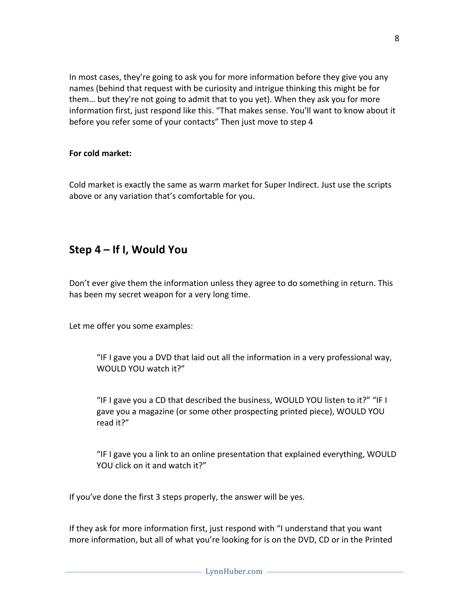In most cases, they're going to ask you for more information before they give you any names (behind that request with be curiosity and intrigue thinking this might be for them... but they're not going to admit that to you yet). When they ask you for more information first, just respond like this. "That makes sense. You'll want to know about it before you refer some of your contacts" Then just move to step 4

### For cold market:

Cold market is exactly the same as warm market for Super Indirect. Just use the scripts above or any variation that's comfortable for you.

## **Step 4 – If I, Would You**

Don't ever give them the information unless they agree to do something in return. This has been my secret weapon for a very long time.

Let me offer you some examples:

"IF I gave you a DVD that laid out all the information in a very professional way, WOULD YOU watch it?"

"IF I gave you a CD that described the business, WOULD YOU listen to it?" "IF I gave you a magazine (or some other prospecting printed piece), WOULD YOU read it?"

"IF I gave you a link to an online presentation that explained everything, WOULD YOU click on it and watch it?"

If you've done the first 3 steps properly, the answer will be yes.

If they ask for more information first, just respond with "I understand that you want more information, but all of what you're looking for is on the DVD, CD or in the Printed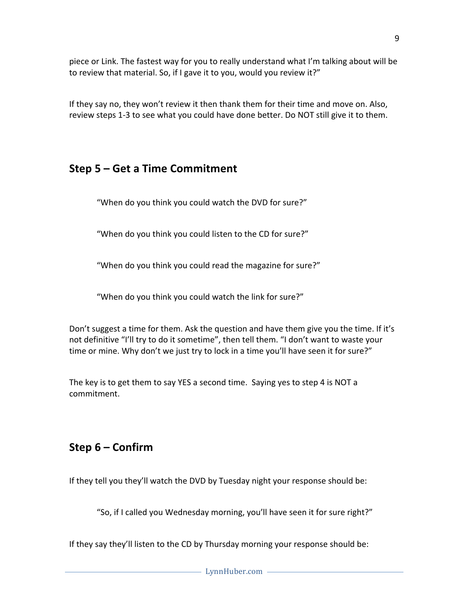piece or Link. The fastest way for you to really understand what I'm talking about will be to review that material. So, if I gave it to you, would you review it?"

If they say no, they won't review it then thank them for their time and move on. Also, review steps 1-3 to see what you could have done better. Do NOT still give it to them.

## **Step 5 – Get a Time Commitment**

"When do you think you could watch the DVD for sure?"

"When do you think you could listen to the CD for sure?"

"When do you think you could read the magazine for sure?"

"When do you think you could watch the link for sure?"

Don't suggest a time for them. Ask the question and have them give you the time. If it's not definitive "I'll try to do it sometime", then tell them. "I don't want to waste your time or mine. Why don't we just try to lock in a time you'll have seen it for sure?"

The key is to get them to say YES a second time. Saying yes to step 4 is NOT a commitment.

## **Step 6 – Confirm**

If they tell you they'll watch the DVD by Tuesday night your response should be:

"So, if I called you Wednesday morning, you'll have seen it for sure right?"

If they say they'll listen to the CD by Thursday morning your response should be: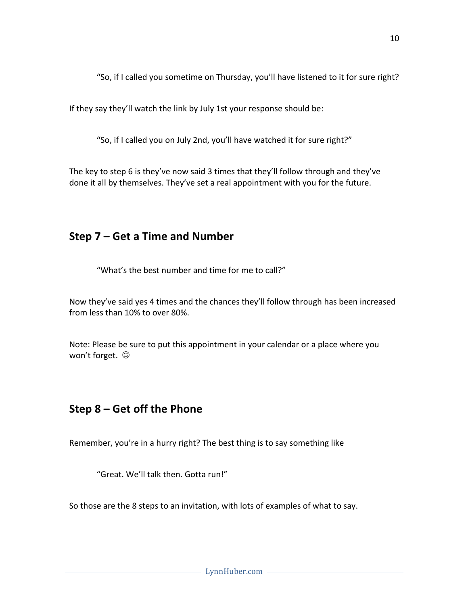"So, if I called you sometime on Thursday, you'll have listened to it for sure right?

If they say they'll watch the link by July 1st your response should be:

"So, if I called you on July 2nd, you'll have watched it for sure right?"

The key to step 6 is they've now said 3 times that they'll follow through and they've done it all by themselves. They've set a real appointment with you for the future.

## **Step 7 – Get a Time and Number**

"What's the best number and time for me to call?"

Now they've said yes 4 times and the chances they'll follow through has been increased from less than 10% to over 80%.

Note: Please be sure to put this appointment in your calendar or a place where you won't forget.  $\odot$ 

## **Step 8 – Get off the Phone**

Remember, you're in a hurry right? The best thing is to say something like

"Great. We'll talk then. Gotta run!"

So those are the 8 steps to an invitation, with lots of examples of what to say.